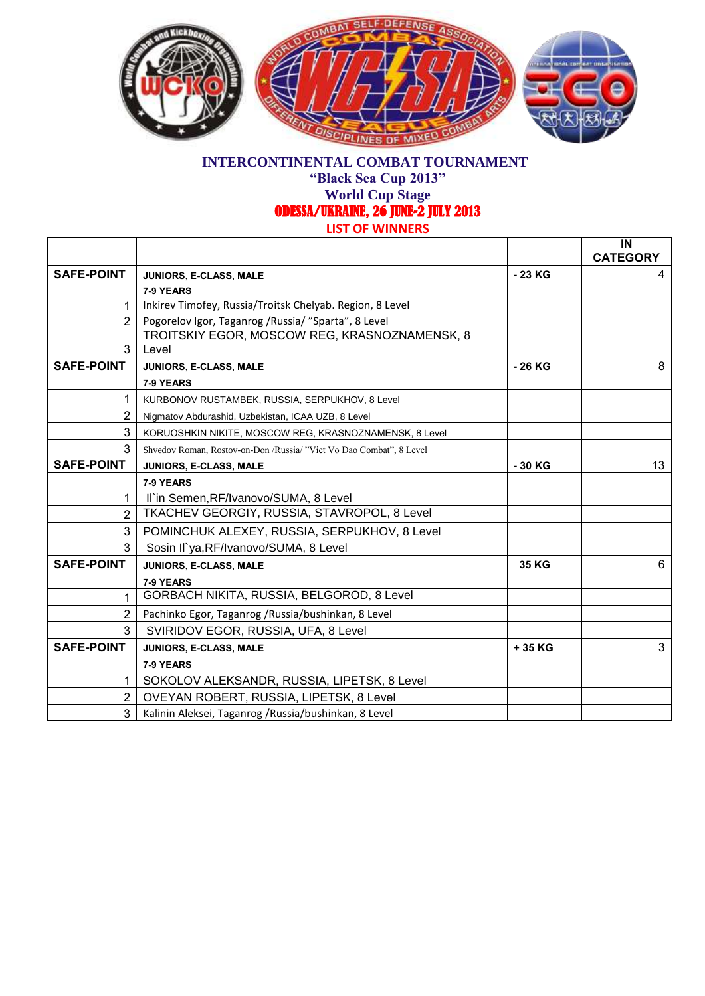

**"Black Sea Cup 2013"**

**World Cup Stage**  ODESSA/UKRAINE, 26 JUNE-2 JULY 2013

|  | )F WINNFRS |  |
|--|------------|--|
|  |            |  |

|                   |                                                                     |          | IN<br><b>CATEGORY</b> |
|-------------------|---------------------------------------------------------------------|----------|-----------------------|
| <b>SAFE-POINT</b> | JUNIORS, E-CLASS, MALE                                              | - 23 KG  | 4                     |
|                   | 7-9 YEARS                                                           |          |                       |
| 1                 | Inkirev Timofey, Russia/Troitsk Chelyab. Region, 8 Level            |          |                       |
| $\overline{2}$    | Pogorelov Igor, Taganrog / Russia/ "Sparta", 8 Level                |          |                       |
| 3                 | TROITSKIY EGOR, MOSCOW REG, KRASNOZNAMENSK, 8<br>Level              |          |                       |
| <b>SAFE-POINT</b> | JUNIORS, E-CLASS, MALE                                              | - 26 KG  | 8                     |
|                   | 7-9 YEARS                                                           |          |                       |
|                   | KURBONOV RUSTAMBEK, RUSSIA, SERPUKHOV, 8 Level                      |          |                       |
| $\overline{2}$    | Nigmatov Abdurashid, Uzbekistan, ICAA UZB, 8 Level                  |          |                       |
| 3                 | KORUOSHKIN NIKITE, MOSCOW REG, KRASNOZNAMENSK, 8 Level              |          |                       |
| 3                 | Shvedov Roman, Rostov-on-Don /Russia/ "Viet Vo Dao Combat", 8 Level |          |                       |
| <b>SAFE-POINT</b> | JUNIORS, E-CLASS, MALE                                              | $-30$ KG | 13                    |
|                   | 7-9 YEARS                                                           |          |                       |
| $\mathbf 1$       | II'in Semen, RF/Ivanovo/SUMA, 8 Level                               |          |                       |
| $\overline{2}$    | TKACHEV GEORGIY, RUSSIA, STAVROPOL, 8 Level                         |          |                       |
| 3                 | POMINCHUK ALEXEY, RUSSIA, SERPUKHOV, 8 Level                        |          |                       |
| 3                 | Sosin II`ya, RF/Ivanovo/SUMA, 8 Level                               |          |                       |
| <b>SAFE-POINT</b> | JUNIORS, E-CLASS, MALE                                              | 35 KG    | 6                     |
|                   | 7-9 YEARS                                                           |          |                       |
| 1                 | GORBACH NIKITA, RUSSIA, BELGOROD, 8 Level                           |          |                       |
| 2                 | Pachinko Egor, Taganrog / Russia/bushinkan, 8 Level                 |          |                       |
| 3                 | SVIRIDOV EGOR, RUSSIA, UFA, 8 Level                                 |          |                       |
| <b>SAFE-POINT</b> | JUNIORS, E-CLASS, MALE                                              | +35 KG   | 3                     |
|                   | 7-9 YEARS                                                           |          |                       |
| 1                 | SOKOLOV ALEKSANDR, RUSSIA, LIPETSK, 8 Level                         |          |                       |
| $\overline{2}$    | OVEYAN ROBERT, RUSSIA, LIPETSK, 8 Level                             |          |                       |
| 3                 | Kalinin Aleksei, Taganrog / Russia/bushinkan, 8 Level               |          |                       |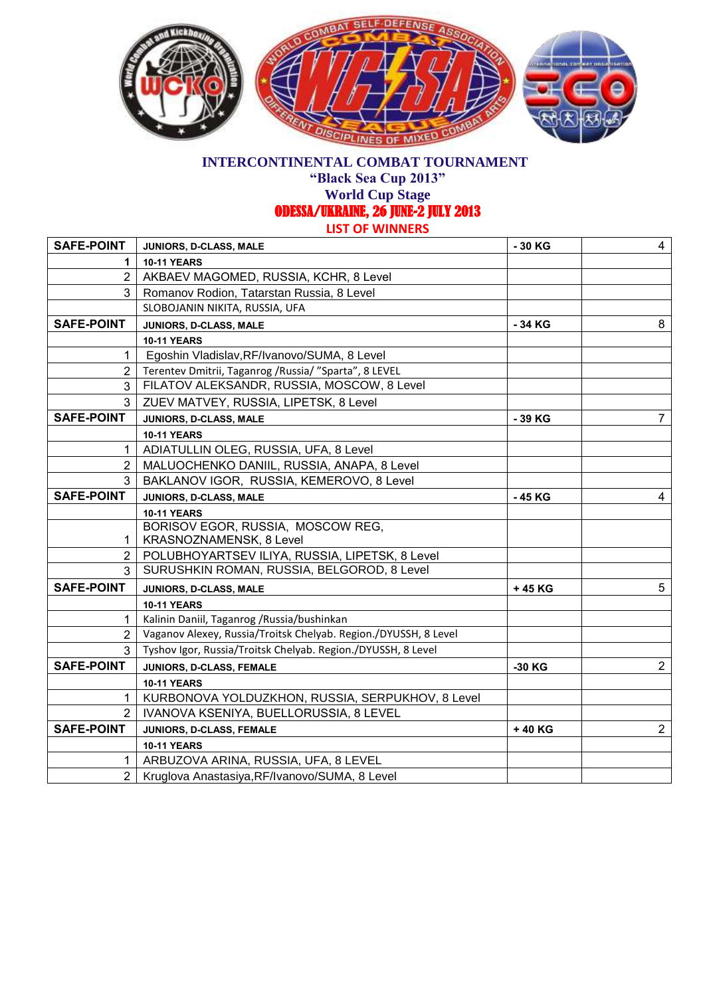

**"Black Sea Cup 2013"**

**World Cup Stage** 

ODESSA/UKRAINE, 26 JUNE-2 JULY 2013

**LIST OF WINNERS**

| <b>SAFE-POINT</b> | JUNIORS, D-CLASS, MALE                                          | - 30 KG | 4              |
|-------------------|-----------------------------------------------------------------|---------|----------------|
| 1.                | <b>10-11 YEARS</b>                                              |         |                |
| $\overline{2}$    | AKBAEV MAGOMED, RUSSIA, KCHR, 8 Level                           |         |                |
| 3                 | Romanov Rodion, Tatarstan Russia, 8 Level                       |         |                |
|                   | SLOBOJANIN NIKITA, RUSSIA, UFA                                  |         |                |
| <b>SAFE-POINT</b> | JUNIORS, D-CLASS, MALE                                          | - 34 KG | 8              |
|                   | <b>10-11 YEARS</b>                                              |         |                |
| 1                 | Egoshin Vladislav, RF/Ivanovo/SUMA, 8 Level                     |         |                |
| $\mathbf{2}$      | Terentev Dmitrii, Taganrog / Russia/ "Sparta", 8 LEVEL          |         |                |
| 3                 | FILATOV ALEKSANDR, RUSSIA, MOSCOW, 8 Level                      |         |                |
| 3                 | ZUEV MATVEY, RUSSIA, LIPETSK, 8 Level                           |         |                |
| <b>SAFE-POINT</b> | JUNIORS, D-CLASS, MALE                                          | - 39 KG | $7^{\circ}$    |
|                   | <b>10-11 YEARS</b>                                              |         |                |
| 1                 | ADIATULLIN OLEG, RUSSIA, UFA, 8 Level                           |         |                |
| 2 <sup>1</sup>    | MALUOCHENKO DANIIL, RUSSIA, ANAPA, 8 Level                      |         |                |
| 3                 | BAKLANOV IGOR, RUSSIA, KEMEROVO, 8 Level                        |         |                |
| <b>SAFE-POINT</b> | JUNIORS, D-CLASS, MALE                                          | -45 KG  | $\overline{4}$ |
|                   | <b>10-11 YEARS</b>                                              |         |                |
|                   | BORISOV EGOR, RUSSIA, MOSCOW REG,                               |         |                |
| 1                 | KRASNOZNAMENSK, 8 Level                                         |         |                |
| 2 <sub>1</sub>    | POLUBHOYARTSEV ILIYA, RUSSIA, LIPETSK, 8 Level                  |         |                |
|                   | SURUSHKIN ROMAN, RUSSIA, BELGOROD, 8 Level                      |         |                |
| <b>SAFE-POINT</b> | JUNIORS, D-CLASS, MALE                                          | +45 KG  | 5              |
|                   | <b>10-11 YEARS</b>                                              |         |                |
| 1                 | Kalinin Daniil, Taganrog /Russia/bushinkan                      |         |                |
| $\overline{2}$    | Vaganov Alexey, Russia/Troitsk Chelyab. Region./DYUSSH, 8 Level |         |                |
|                   | Tyshov Igor, Russia/Troitsk Chelyab. Region./DYUSSH, 8 Level    |         |                |
| <b>SAFE-POINT</b> | JUNIORS, D-CLASS, FEMALE                                        | -30 KG  | $2^{\circ}$    |
|                   | <b>10-11 YEARS</b>                                              |         |                |
| 1                 | KURBONOVA YOLDUZKHON, RUSSIA, SERPUKHOV, 8 Level                |         |                |
|                   | IVANOVA KSENIYA, BUELLORUSSIA, 8 LEVEL                          |         |                |
| <b>SAFE-POINT</b> | JUNIORS, D-CLASS, FEMALE                                        | +40 KG  | $\overline{2}$ |
|                   | <b>10-11 YEARS</b>                                              |         |                |
|                   |                                                                 |         |                |
| 1                 | ARBUZOVA ARINA, RUSSIA, UFA, 8 LEVEL                            |         |                |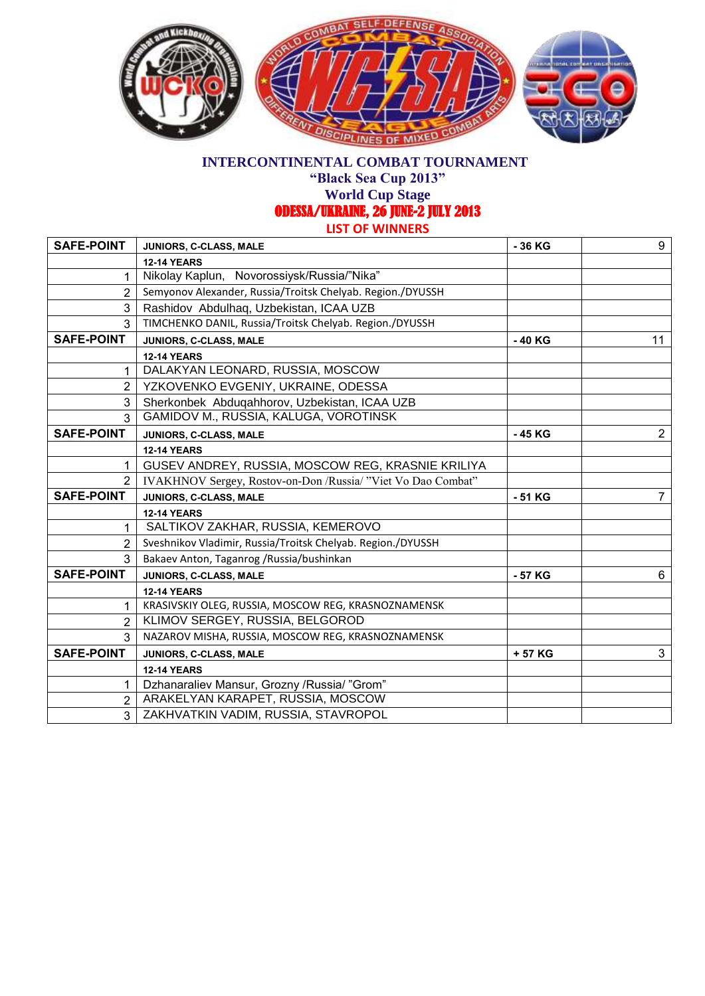

**"Black Sea Cup 2013"**

**World Cup Stage** 

ODESSA/UKRAINE, 26 JUNE-2 JULY 2013

**LIST OF WINNERS**

| <b>SAFE-POINT</b> | JUNIORS, C-CLASS, MALE                                       | - 36 KG | 9              |
|-------------------|--------------------------------------------------------------|---------|----------------|
|                   | <b>12-14 YEARS</b>                                           |         |                |
|                   | Nikolay Kaplun, Novorossiysk/Russia/"Nika"                   |         |                |
| 2                 | Semyonov Alexander, Russia/Troitsk Chelyab. Region./DYUSSH   |         |                |
| 3                 | Rashidov Abdulhaq, Uzbekistan, ICAA UZB                      |         |                |
| 3                 | TIMCHENKO DANIL, Russia/Troitsk Chelyab. Region./DYUSSH      |         |                |
| <b>SAFE-POINT</b> | JUNIORS, C-CLASS, MALE                                       | -40 KG  | 11             |
|                   | <b>12-14 YEARS</b>                                           |         |                |
| 1                 | DALAKYAN LEONARD, RUSSIA, MOSCOW                             |         |                |
| 2                 | YZKOVENKO EVGENIY, UKRAINE, ODESSA                           |         |                |
| 3                 | Sherkonbek Abduqahhorov, Uzbekistan, ICAA UZB                |         |                |
| 3                 | GAMIDOV M., RUSSIA, KALUGA, VOROTINSK                        |         |                |
| <b>SAFE-POINT</b> | JUNIORS, C-CLASS, MALE                                       | - 45 KG | $\overline{2}$ |
|                   | <b>12-14 YEARS</b>                                           |         |                |
|                   | GUSEV ANDREY, RUSSIA, MOSCOW REG, KRASNIE KRILIYA            |         |                |
| 2                 | IVAKHNOV Sergey, Rostov-on-Don /Russia/ "Viet Vo Dao Combat" |         |                |
| <b>SAFE-POINT</b> | JUNIORS, C-CLASS, MALE                                       | - 51 KG | $\overline{7}$ |
|                   | <b>12-14 YEARS</b>                                           |         |                |
| 1                 | SALTIKOV ZAKHAR, RUSSIA, KEMEROVO                            |         |                |
| 2                 | Sveshnikov Vladimir, Russia/Troitsk Chelyab. Region./DYUSSH  |         |                |
| 3                 | Bakaev Anton, Taganrog / Russia/bushinkan                    |         |                |
| <b>SAFE-POINT</b> | JUNIORS, C-CLASS, MALE                                       | - 57 KG | 6              |
|                   | <b>12-14 YEARS</b>                                           |         |                |
| 1                 | KRASIVSKIY OLEG, RUSSIA, MOSCOW REG, KRASNOZNAMENSK          |         |                |
| $\overline{2}$    | KLIMOV SERGEY, RUSSIA, BELGOROD                              |         |                |
| 3                 | NAZAROV MISHA, RUSSIA, MOSCOW REG, KRASNOZNAMENSK            |         |                |
| <b>SAFE-POINT</b> | JUNIORS, C-CLASS, MALE                                       | + 57 KG | 3              |
|                   | <b>12-14 YEARS</b>                                           |         |                |
| 1                 | Dzhanaraliev Mansur, Grozny / Russia/ "Grom"                 |         |                |
| 2                 | ARAKELYAN KARAPET, RUSSIA, MOSCOW                            |         |                |
| 3                 | ZAKHVATKIN VADIM, RUSSIA, STAVROPOL                          |         |                |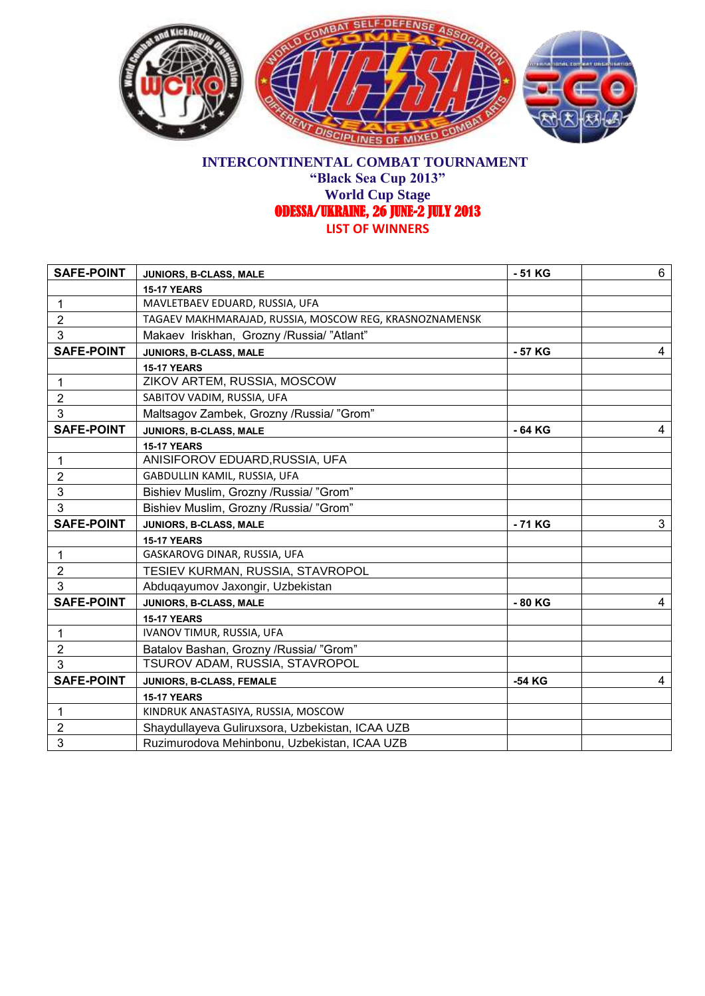

#### **INTERCONTINENTAL COMBAT TOURNAMENT "Black Sea Cup 2013" World Cup Stage**  ODESSA/UKRAINE, 26 JUNE-2 JULY 2013 **LIST OF WINNERS**

| <b>SAFE-POINT</b> | JUNIORS, B-CLASS, MALE                                 | - 51 KG | 6 |
|-------------------|--------------------------------------------------------|---------|---|
|                   | <b>15-17 YEARS</b>                                     |         |   |
| $\mathbf 1$       | MAVLETBAEV EDUARD, RUSSIA, UFA                         |         |   |
| $\overline{2}$    | TAGAEV MAKHMARAJAD, RUSSIA, MOSCOW REG, KRASNOZNAMENSK |         |   |
| 3                 | Makaev Iriskhan, Grozny / Russia/"Atlant"              |         |   |
| <b>SAFE-POINT</b> | JUNIORS, B-CLASS, MALE                                 | - 57 KG | 4 |
|                   | <b>15-17 YEARS</b>                                     |         |   |
| 1                 | ZIKOV ARTEM, RUSSIA, MOSCOW                            |         |   |
| $\overline{2}$    | SABITOV VADIM, RUSSIA, UFA                             |         |   |
| 3                 | Maltsagov Zambek, Grozny / Russia/ "Grom"              |         |   |
| <b>SAFE-POINT</b> | JUNIORS, B-CLASS, MALE                                 | - 64 KG | 4 |
|                   | <b>15-17 YEARS</b>                                     |         |   |
| $\mathbf 1$       | ANISIFOROV EDUARD, RUSSIA, UFA                         |         |   |
| $\overline{2}$    | GABDULLIN KAMIL, RUSSIA, UFA                           |         |   |
| 3                 | Bishiev Muslim, Grozny /Russia/ "Grom"                 |         |   |
| 3                 | Bishiev Muslim, Grozny /Russia/ "Grom"                 |         |   |
| <b>SAFE-POINT</b> | JUNIORS, B-CLASS, MALE                                 | -71 KG  | 3 |
|                   | <b>15-17 YEARS</b>                                     |         |   |
| $\mathbf{1}$      | GASKAROVG DINAR, RUSSIA, UFA                           |         |   |
| $\overline{2}$    | TESIEV KURMAN, RUSSIA, STAVROPOL                       |         |   |
| 3                 | Abduqayumov Jaxongir, Uzbekistan                       |         |   |
| <b>SAFE-POINT</b> | JUNIORS, B-CLASS, MALE                                 | - 80 KG | 4 |
|                   | <b>15-17 YEARS</b>                                     |         |   |
| $\mathbf{1}$      | IVANOV TIMUR, RUSSIA, UFA                              |         |   |
| $\overline{2}$    | Batalov Bashan, Grozny /Russia/ "Grom"                 |         |   |
| 3                 | TSUROV ADAM, RUSSIA, STAVROPOL                         |         |   |
| <b>SAFE-POINT</b> | JUNIORS, B-CLASS, FEMALE                               | -54 KG  | 4 |
|                   | <b>15-17 YEARS</b>                                     |         |   |
| $\mathbf{1}$      | KINDRUK ANASTASIYA, RUSSIA, MOSCOW                     |         |   |
| $\overline{2}$    | Shaydullayeva Guliruxsora, Uzbekistan, ICAA UZB        |         |   |
| 3                 | Ruzimurodova Mehinbonu, Uzbekistan, ICAA UZB           |         |   |